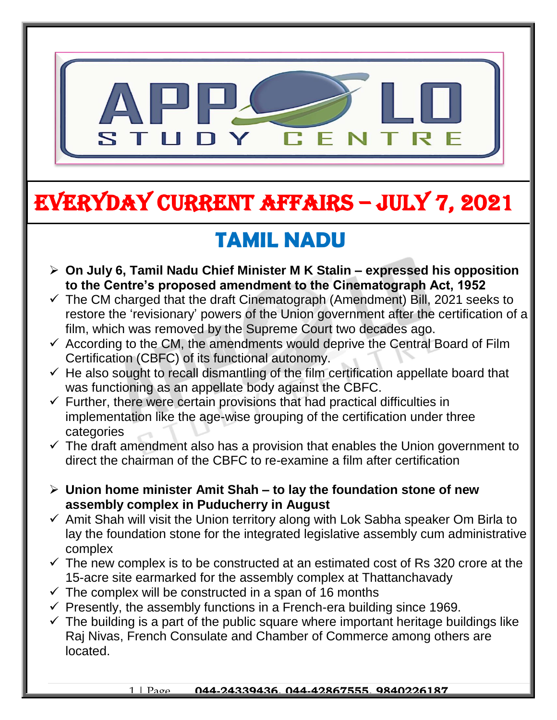

# EVERYDAY CURRENT AFFAIRS – jULY 7, 2021

-

## **TAMIL NADU**

- **On July 6, Tamil Nadu Chief Minister M K Stalin – expressed his opposition to the Centre's proposed amendment to the Cinematograph Act, 1952**
- $\checkmark$  The CM charged that the draft Cinematograph (Amendment) Bill, 2021 seeks to restore the 'revisionary' powers of the Union government after the certification of a film, which was removed by the Supreme Court two decades ago.
- $\checkmark$  According to the CM, the amendments would deprive the Central Board of Film Certification (CBFC) of its functional autonomy.
- $\checkmark$  He also sought to recall dismantling of the film certification appellate board that was functioning as an appellate body against the CBFC.
- $\checkmark$  Further, there were certain provisions that had practical difficulties in implementation like the age-wise grouping of the certification under three categories
- $\checkmark$  The draft amendment also has a provision that enables the Union government to direct the chairman of the CBFC to re-examine a film after certification
- **Union home minister Amit Shah – to lay the foundation stone of new assembly complex in Puducherry in August**
- $\checkmark$  Amit Shah will visit the Union territory along with Lok Sabha speaker Om Birla to lay the foundation stone for the integrated legislative assembly cum administrative complex
- $\checkmark$  The new complex is to be constructed at an estimated cost of Rs 320 crore at the 15-acre site earmarked for the assembly complex at Thattanchavady
- $\checkmark$  The complex will be constructed in a span of 16 months
- $\checkmark$  Presently, the assembly functions in a French-era building since 1969.
- $\checkmark$  The building is a part of the public square where important heritage buildings like Raj Nivas, French Consulate and Chamber of Commerce among others are located.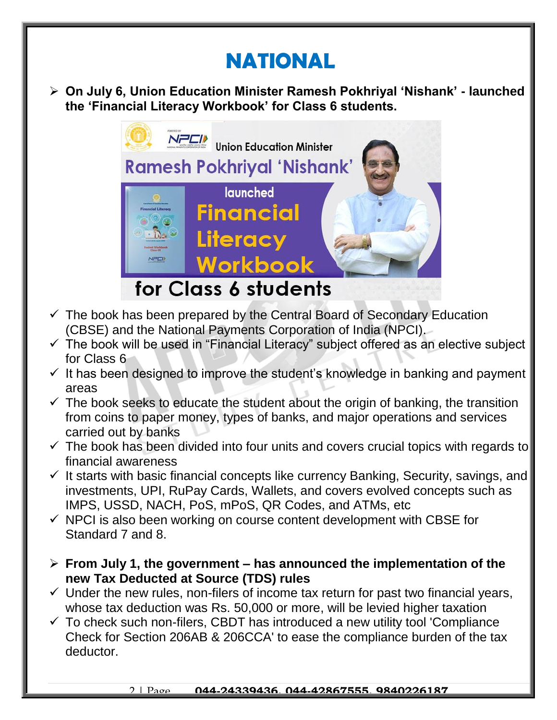### **NATIONAL**

 **On July 6, Union Education Minister Ramesh Pokhriyal 'Nishank' - launched the 'Financial Literacy Workbook' for Class 6 students.** 



- $\checkmark$  The book has been prepared by the Central Board of Secondary Education (CBSE) and the National Payments Corporation of India (NPCI).
- $\checkmark$  The book will be used in "Financial Literacy" subject offered as an elective subject for Class 6
- $\checkmark$  It has been designed to improve the student's knowledge in banking and payment areas
- $\checkmark$  The book seeks to educate the student about the origin of banking, the transition from coins to paper money, types of banks, and major operations and services carried out by banks
- $\checkmark$  The book has been divided into four units and covers crucial topics with regards to financial awareness
- $\checkmark$  It starts with basic financial concepts like currency Banking, Security, savings, and investments, UPI, RuPay Cards, Wallets, and covers evolved concepts such as IMPS, USSD, NACH, PoS, mPoS, QR Codes, and ATMs, etc
- $\checkmark$  NPCI is also been working on course content development with CBSE for Standard 7 and 8.
- **From July 1, the government – has announced the implementation of the new Tax Deducted at Source (TDS) rules**
- $\checkmark$  Under the new rules, non-filers of income tax return for past two financial years, whose tax deduction was Rs. 50,000 or more, will be levied higher taxation
- $\checkmark$  To check such non-filers, CBDT has introduced a new utility tool 'Compliance Check for Section 206AB & 206CCA' to ease the compliance burden of the tax deductor.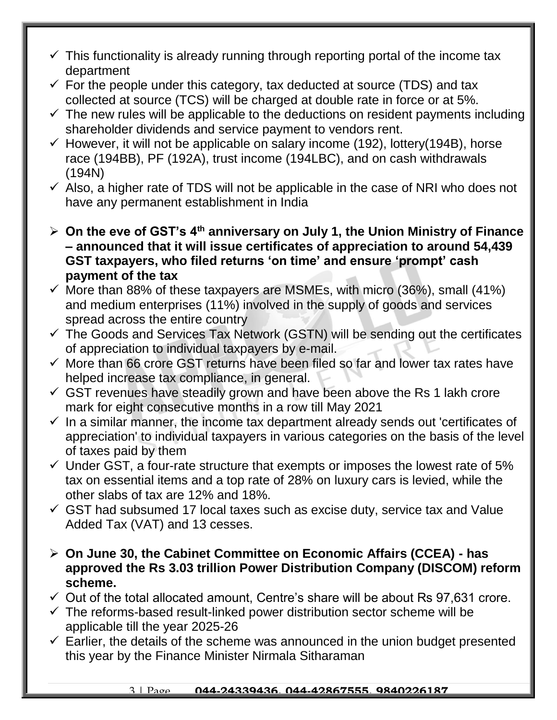- $\checkmark$  This functionality is already running through reporting portal of the income tax department
- $\checkmark$  For the people under this category, tax deducted at source (TDS) and tax collected at source (TCS) will be charged at double rate in force or at 5%.
- $\checkmark$  The new rules will be applicable to the deductions on resident payments including shareholder dividends and service payment to vendors rent.
- $\checkmark$  However, it will not be applicable on salary income (192), lottery(194B), horse race (194BB), PF (192A), trust income (194LBC), and on cash withdrawals (194N)
- $\checkmark$  Also, a higher rate of TDS will not be applicable in the case of NRI who does not have any permanent establishment in India
- **On the eve of GST's 4th anniversary on July 1, the Union Ministry of Finance – announced that it will issue certificates of appreciation to around 54,439 GST taxpayers, who filed returns 'on time' and ensure 'prompt' cash payment of the tax**
- $\checkmark$  More than 88% of these taxpayers are MSMEs, with micro (36%), small (41%) and medium enterprises (11%) involved in the supply of goods and services spread across the entire country
- $\checkmark$  The Goods and Services Tax Network (GSTN) will be sending out the certificates of appreciation to individual taxpayers by e-mail.
- $\checkmark$  More than 66 crore GST returns have been filed so far and lower tax rates have helped increase tax compliance, in general.
- $\checkmark$  GST revenues have steadily grown and have been above the Rs 1 lakh crore mark for eight consecutive months in a row till May 2021
- $\checkmark$  In a similar manner, the income tax department already sends out 'certificates of appreciation' to individual taxpayers in various categories on the basis of the level of taxes paid by them
- $\checkmark$  Under GST, a four-rate structure that exempts or imposes the lowest rate of 5% tax on essential items and a top rate of 28% on luxury cars is levied, while the other slabs of tax are 12% and 18%.
- $\checkmark$  GST had subsumed 17 local taxes such as excise duty, service tax and Value Added Tax (VAT) and 13 cesses.
- **On June 30, the Cabinet Committee on Economic Affairs (CCEA) - has approved the Rs 3.03 trillion Power Distribution Company (DISCOM) reform scheme.**
- $\checkmark$  Out of the total allocated amount, Centre's share will be about Rs 97,631 crore.
- $\checkmark$  The reforms-based result-linked power distribution sector scheme will be applicable till the year 2025-26
- $\checkmark$  Earlier, the details of the scheme was announced in the union budget presented this year by the Finance Minister Nirmala Sitharaman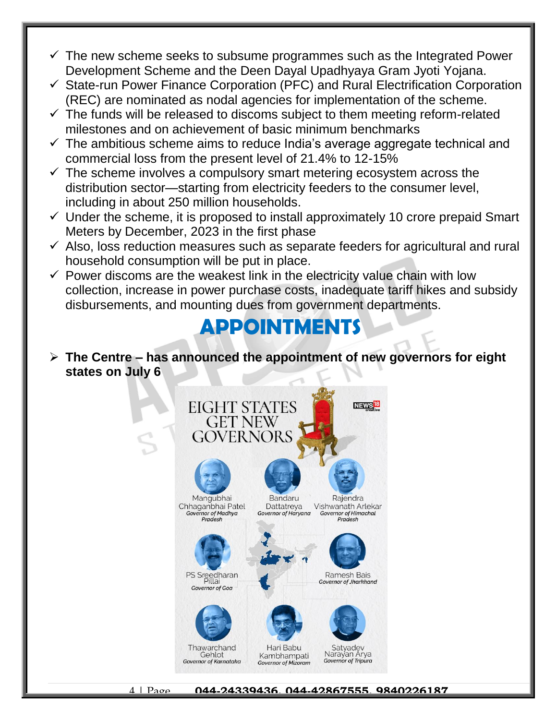- $\checkmark$  The new scheme seeks to subsume programmes such as the Integrated Power Development Scheme and the Deen Dayal Upadhyaya Gram Jyoti Yojana.
- $\checkmark$  State-run Power Finance Corporation (PFC) and Rural Electrification Corporation (REC) are nominated as nodal agencies for implementation of the scheme.
- $\checkmark$  The funds will be released to discoms subject to them meeting reform-related milestones and on achievement of basic minimum benchmarks
- $\checkmark$  The ambitious scheme aims to reduce India's average aggregate technical and commercial loss from the present level of 21.4% to 12-15%
- $\checkmark$  The scheme involves a compulsory smart metering ecosystem across the distribution sector—starting from electricity feeders to the consumer level, including in about 250 million households.
- $\checkmark$  Under the scheme, it is proposed to install approximately 10 crore prepaid Smart Meters by December, 2023 in the first phase
- $\checkmark$  Also, loss reduction measures such as separate feeders for agricultural and rural household consumption will be put in place.
- $\checkmark$  Power discoms are the weakest link in the electricity value chain with low collection, increase in power purchase costs, inadequate tariff hikes and subsidy disbursements, and mounting dues from government departments.

#### **APPOINTMENTS**

 **The Centre – has announced the appointment of new governors for eight states on July 6**

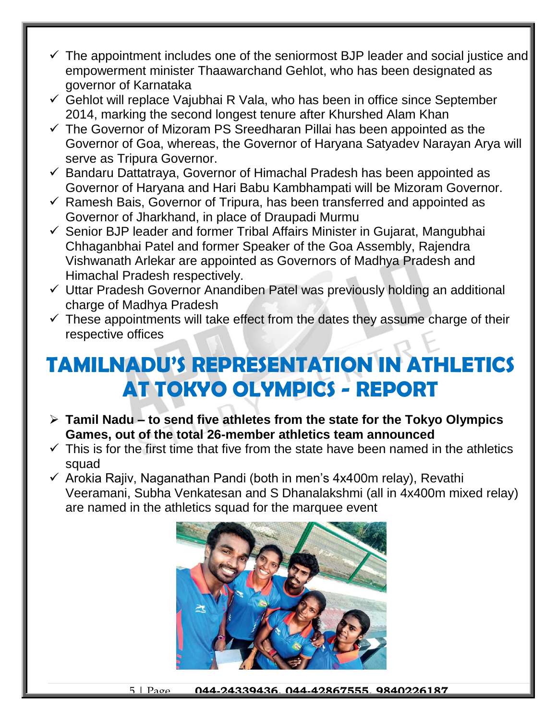- $\checkmark$  The appointment includes one of the seniormost BJP leader and social justice and empowerment minister Thaawarchand Gehlot, who has been designated as governor of Karnataka
- $\checkmark$  Gehlot will replace Vajubhai R Vala, who has been in office since September 2014, marking the second longest tenure after Khurshed Alam Khan
- $\checkmark$  The Governor of Mizoram PS Sreedharan Pillai has been appointed as the Governor of Goa, whereas, the Governor of Haryana Satyadev Narayan Arya will serve as Tripura Governor.
- $\checkmark$  Bandaru Dattatraya, Governor of Himachal Pradesh has been appointed as Governor of Haryana and Hari Babu Kambhampati will be Mizoram Governor.
- $\checkmark$  Ramesh Bais, Governor of Tripura, has been transferred and appointed as Governor of Jharkhand, in place of Draupadi Murmu
- $\checkmark$  Senior BJP leader and former Tribal Affairs Minister in Gujarat, Mangubhai Chhaganbhai Patel and former Speaker of the Goa Assembly, Rajendra Vishwanath Arlekar are appointed as Governors of Madhya Pradesh and Himachal Pradesh respectively.
- $\checkmark$  Uttar Pradesh Governor Anandiben Patel was previously holding an additional charge of Madhya Pradesh
- $\checkmark$  These appointments will take effect from the dates they assume charge of their respective offices

#### **TAMILNADU'S REPRESENTATION IN ATHLETICS AT TOKYO OLYMPICS - REPORT**

- **Tamil Nadu – to send five athletes from the state for the Tokyo Olympics Games, out of the total 26-member athletics team announced**
- $\checkmark$  This is for the first time that five from the state have been named in the athletics squad
- $\checkmark$  Arokia Rajiv, Naganathan Pandi (both in men's 4x400m relay), Revathi Veeramani, Subha Venkatesan and S Dhanalakshmi (all in 4x400m mixed relay) are named in the athletics squad for the marquee event